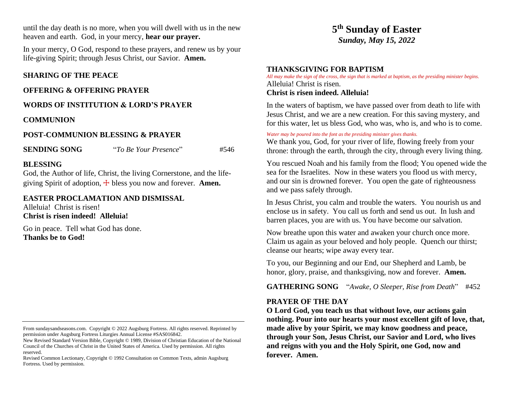until the day death is no more, when you will dwell with us in the new heaven and earth. God, in your mercy, **hear our prayer.**

In your mercy, O God, respond to these prayers, and renew us by your life-giving Spirit; through Jesus Christ, our Savior. **Amen.**

## **SHARING OF THE PEACE**

#### **OFFERING & OFFERING PRAYER**

## **WORDS OF INSTITUTION & LORD'S PRAYER**

#### **COMMUNION**

## **POST-COMMUNION BLESSING & PRAYER**

**SENDING SONG** "*To Be Your Presence*" #546

## **BLESSING**

God, the Author of life, Christ, the living Cornerstone, and the lifegiving Spirit of adoption, ☩ bless you now and forever. **Amen.**

#### **EASTER PROCLAMATION AND DISMISSAL**

Alleluia! Christ is risen! **Christ is risen indeed! Alleluia!**

Go in peace. Tell what God has done. **Thanks be to God!** 

# **5 th Sunday of Easter** *Sunday, May 15, 2022*

## **THANKSGIVING FOR BAPTISM**

*All may make the sign of the cross, the sign that is marked at baptism, as the presiding minister begins.* Alleluia! Christ is risen.

## **Christ is risen indeed. Alleluia!**

In the waters of baptism, we have passed over from death to life with Jesus Christ, and we are a new creation. For this saving mystery, and for this water, let us bless God, who was, who is, and who is to come.

#### *Water may be poured into the font as the presiding minister gives thanks.*

We thank you, God, for your river of life, flowing freely from your throne: through the earth, through the city, through every living thing.

You rescued Noah and his family from the flood; You opened wide the sea for the Israelites. Now in these waters you flood us with mercy, and our sin is drowned forever. You open the gate of righteousness and we pass safely through.

In Jesus Christ, you calm and trouble the waters. You nourish us and enclose us in safety. You call us forth and send us out. In lush and barren places, you are with us. You have become our salvation.

Now breathe upon this water and awaken your church once more. Claim us again as your beloved and holy people. Quench our thirst; cleanse our hearts; wipe away every tear.

To you, our Beginning and our End, our Shepherd and Lamb, be honor, glory, praise, and thanksgiving, now and forever. **Amen.**

**GATHERING SONG** "*Awake, O Sleeper, Rise from Death*" #452

## **PRAYER OF THE DAY**

**O Lord God, you teach us that without love, our actions gain nothing. Pour into our hearts your most excellent gift of love, that, made alive by your Spirit, we may know goodness and peace, through your Son, Jesus Christ, our Savior and Lord, who lives and reigns with you and the Holy Spirit, one God, now and forever. Amen.**

From sundaysandseasons.com. Copyright © 2022 Augsburg Fortress. All rights reserved. Reprinted by permission under Augsburg Fortress Liturgies Annual License #SAS016842.

New Revised Standard Version Bible, Copyright © 1989, Division of Christian Education of the National Council of the Churches of Christ in the United States of America. Used by permission. All rights reserved.

Revised Common Lectionary, Copyright © 1992 Consultation on Common Texts, admin Augsburg Fortress. Used by permission.